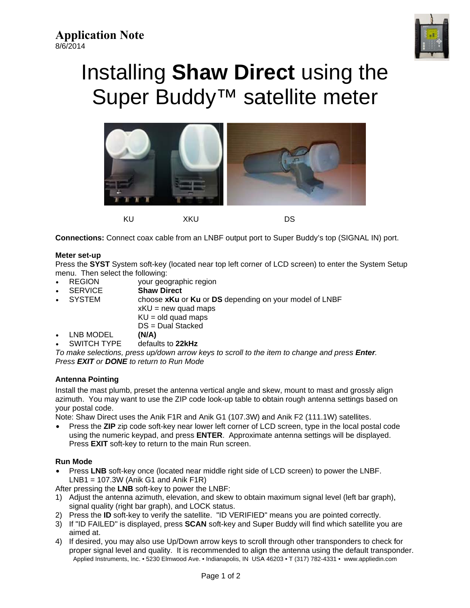

# Installing Shaw Direct using the Super Buddy<sup>™</sup> satellite meter



Connections: Connect coax cable from an LNBF output port to Super Buddy's top (SIGNAL IN) port.

### Meter set-up

Press the SYST System soft-key (located near top left corner of LCD screen) to enter the System Setup menu. Then select the following:

- **REGION** your geographic region
- **SERVICE Shaw Direct**
- **SYSTEM** choose xKu or Ku or DS depending on your model of LNBF
	- $xKU = new quad maps$
	- $KU = old$  quad maps
	- $DS = Dual Stacked$
- LNB MODEL  $(N/A)$
- **SWITCH TYPE** defaults to 22kHz

To make selections, press up/down arrow keys to scroll to the item to change and press **Enter**. Press **EXIT** or **DONE** to return to Run Mode

## **Antenna Pointing**

Install the mast plumb, preset the antenna vertical angle and skew, mount to mast and grossly align azimuth. You may want to use the ZIP code look-up table to obtain rough antenna settings based on your postal code.

Note: Shaw Direct uses the Anik F1R and Anik G1 (107.3W) and Anik F2 (111.1W) satellites.

Press the ZIP zip code soft-key near lower left corner of LCD screen, type in the local postal code  $\bullet$ using the numeric keypad, and press **ENTER**. Approximate antenna settings will be displayed. Press EXIT soft-key to return to the main Run screen.

### **Run Mode**

- Press LNB soft-key once (located near middle right side of LCD screen) to power the LNBF.  $LNB1 = 107.3W$  (Anik G1 and Anik F1R)
- After pressing the LNB soft-key to power the LNBF:
- 1) Adjust the antenna azimuth, elevation, and skew to obtain maximum signal level (left bar graph), signal quality (right bar graph), and LOCK status.
- 2) Press the ID soft-key to verify the satellite. "ID VERIFIED" means you are pointed correctly.
- 3) If "ID FAILED" is displayed, press SCAN soft-key and Super Buddy will find which satellite you are aimed at.
- 4) If desired, you may also use Up/Down arrow keys to scroll through other transponders to check for proper signal level and quality. It is recommended to align the antenna using the default transponder. Applied Instruments, Inc. • 5230 Elmwood Ave. • Indianapolis, IN USA 46203 • T (317) 782-4331 • www.appliedin.com